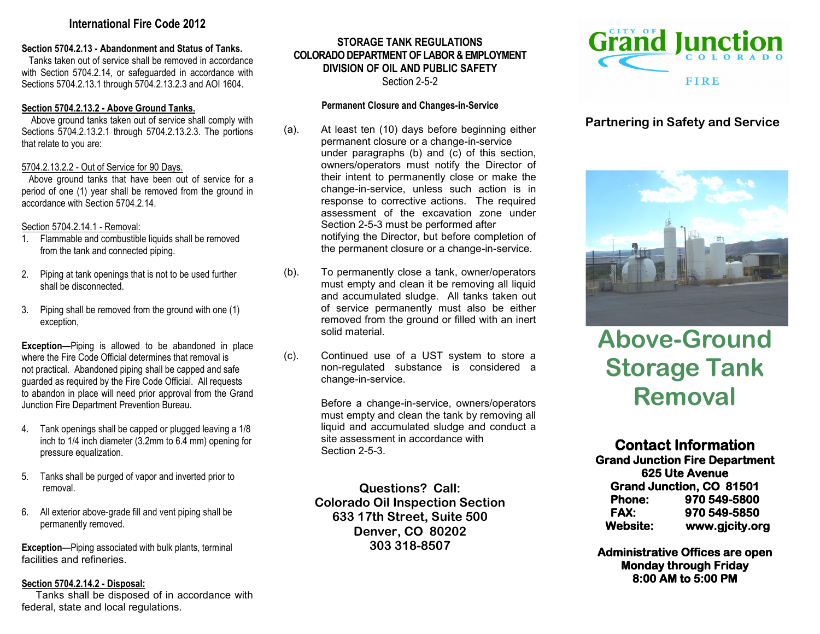# **International Fire Code 2012**

#### **Section 5704.2.13 - Abandonment and Status of Tanks.**

 Tanks taken out of service shall be removed in accordance with Section 5704.2.14, or safeguarded in accordance with Sections 5704.2.13.1 through 5704.2.13.2.3 and AOI 1604.

#### **Section 5704.2.13.2 - Above Ground Tanks.**

 Above ground tanks taken out of service shall comply with Sections 5704.2.13.2.1 through 5704.2.13.2.3. The portions that relate to you are:

## 5704.2.13.2.2 - Out of Service for 90 Days.

 Above ground tanks that have been out of service for a period of one (1) year shall be removed from the ground in accordance with Section 5704.2.14

## Section 5704.2.14.1 - Removal:

- 1. Flammable and combustible liquids shall be removed from the tank and connected piping.
- 2. Piping at tank openings that is not to be used further shall be disconnected.
- 3. Piping shall be removed from the ground with one (1) exception,

**Exception—**Piping is allowed to be abandoned in place where the Fire Code Official determines that removal is not practical. Abandoned piping shall be capped and safe guarded as required by the Fire Code Official. All requests to abandon in place will need prior approval from the Grand Junction Fire Department Prevention Bureau.

- 4. Tank openings shall be capped or plugged leaving a 1/8 inch to 1/4 inch diameter (3.2mm to 6.4 mm) opening for pressure equalization.
- 5. Tanks shall be purged of vapor and inverted prior to removal.
- 6. All exterior above-grade fill and vent piping shall be permanently removed.

**Exception**—Piping associated with bulk plants, terminal facilities and refineries.

# **Section 5704.2.14.2 - Disposal:**

 Tanks shall be disposed of in accordance with federal, state and local regulations.

# **STORAGE TANK REGULATIONS COLORADO DEPARTMENT OF LABOR & EMPLOYMENT DIVISION OF OIL AND PUBLIC SAFETY** Section 2-5-2

#### **Permanent Closure and Changes-in-Service**

- (a). At least ten (10) days before beginning either permanent closure or a change-in-service under paragraphs (b) and (c) of this section, owners/operators must notify the Director of their intent to permanently close or make the change-in-service, unless such action is in response to corrective actions. The required assessment of the excavation zone under Section 2-5-3 must be performed after notifying the Director, but before completion of the permanent closure or a change-in-service.
- (b). To permanently close a tank, owner/operators must empty and clean it be removing all liquid and accumulated sludge. All tanks taken out of service permanently must also be either removed from the ground or filled with an inert solid material.
- (c). Continued use of a UST system to store a non-regulated substance is considered a change-in-service.

Before a change-in-service, owners/operators must empty and clean the tank by removing all liquid and accumulated sludge and conduct a site assessment in accordance with Section 2-5-3.

**Questions? Call: Colorado Oil Inspection Section 633 17th Street, Suite 500 Denver, CO 80202 303 318-8507**



# **Partnering in Safety and Service**



# **Above-Ground Storage Tank Removal**

**Contact Information Grand Junction Fire Department 625 Ute Avenue Grand Junction, CO 81501 Phone: 970 549-5800 FAX: 970 549-5850 Website: www.gjcity.org** 

**Administrative Offices are open Monday through Friday 8:00 AM to 5:00 PM**